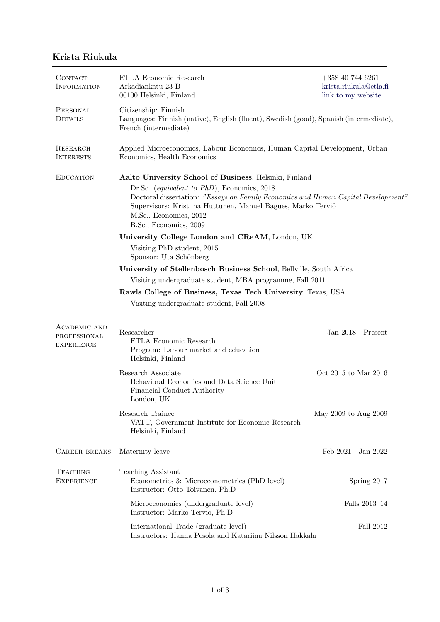## Krista Riukula

| CONTACT<br><b>INFORMATION</b>                            | ETLA Economic Research<br>Arkadiankatu $23$ B<br>00100 Helsinki, Finland                                                                                                                                                                             | $+358$ 40 744 6261<br>krista.riukula@etla.fi<br>link to my website |  |
|----------------------------------------------------------|------------------------------------------------------------------------------------------------------------------------------------------------------------------------------------------------------------------------------------------------------|--------------------------------------------------------------------|--|
| PERSONAL<br>DETAILS                                      | Citizenship: Finnish<br>Languages: Finnish (native), English (fluent), Swedish (good), Spanish (intermediate),<br>French (intermediate)                                                                                                              |                                                                    |  |
| <b>RESEARCH</b><br><b>INTERESTS</b>                      | Applied Microeconomics, Labour Economics, Human Capital Development, Urban<br>Economics, Health Economics                                                                                                                                            |                                                                    |  |
| <b>EDUCATION</b>                                         | Aalto University School of Business, Helsinki, Finland                                                                                                                                                                                               |                                                                    |  |
|                                                          | Dr.Sc. (equivalent to PhD), Economics, 2018<br>Doctoral dissertation: "Essays on Family Economics and Human Capital Development"<br>Supervisors: Kristiina Huttunen, Manuel Bagues, Marko Terviö<br>M.Sc., Economics, 2012<br>B.Sc., Economics, 2009 |                                                                    |  |
|                                                          | University College London and CReAM, London, UK                                                                                                                                                                                                      |                                                                    |  |
|                                                          | Visiting PhD student, 2015<br>Sponsor: Uta Schönberg                                                                                                                                                                                                 |                                                                    |  |
|                                                          | University of Stellenbosch Business School, Bellville, South Africa                                                                                                                                                                                  |                                                                    |  |
|                                                          | Visiting undergraduate student, MBA programme, Fall 2011                                                                                                                                                                                             |                                                                    |  |
|                                                          | Rawls College of Business, Texas Tech University, Texas, USA                                                                                                                                                                                         |                                                                    |  |
|                                                          | Visiting undergraduate student, Fall 2008                                                                                                                                                                                                            |                                                                    |  |
| <b>ACADEMIC AND</b><br>PROFESSIONAL<br><b>EXPERIENCE</b> | Researcher<br>ETLA Economic Research<br>Program: Labour market and education<br>Helsinki, Finland                                                                                                                                                    | Jan 2018 - Present                                                 |  |
|                                                          | Research Associate<br>Behavioral Economics and Data Science Unit<br>Financial Conduct Authority<br>London, UK                                                                                                                                        | Oct 2015 to Mar 2016                                               |  |
|                                                          | Research Trainee<br>VATT, Government Institute for Economic Research<br>Helsinki, Finland                                                                                                                                                            | May 2009 to Aug 2009                                               |  |
| <b>CAREER BREAKS</b>                                     | Maternity leave                                                                                                                                                                                                                                      | Feb 2021 - Jan 2022                                                |  |
| <b>TEACHING</b><br><b>EXPERIENCE</b>                     | Teaching Assistant<br>Econometrics 3: Microeconometrics (PhD level)<br>Instructor: Otto Toivanen, Ph.D                                                                                                                                               | Spring 2017                                                        |  |
|                                                          | Microeconomics (undergraduate level)<br>Instructor: Marko Terviö, Ph.D                                                                                                                                                                               | Falls 2013-14                                                      |  |
|                                                          | International Trade (graduate level)<br>Instructors: Hanna Pesola and Katariina Nilsson Hakkala                                                                                                                                                      | Fall 2012                                                          |  |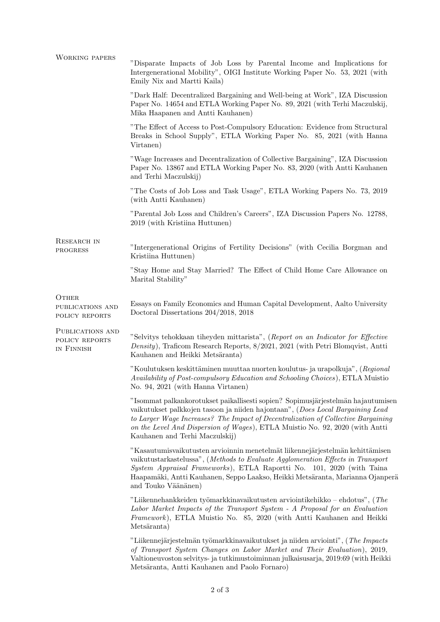| <b>WORKING PAPERS</b>                              | "Disparate Impacts of Job Loss by Parental Income and Implications for<br>Intergenerational Mobility", OIGI Institute Working Paper No. 53, 2021 (with<br>Emily Nix and Martti Kaila)                                                                                                                                                                                     |  |
|----------------------------------------------------|---------------------------------------------------------------------------------------------------------------------------------------------------------------------------------------------------------------------------------------------------------------------------------------------------------------------------------------------------------------------------|--|
|                                                    | "Dark Half: Decentralized Bargaining and Well-being at Work", IZA Discussion<br>Paper No. 14654 and ETLA Working Paper No. 89, 2021 (with Terhi Maczulskij,<br>Mika Haapanen and Antti Kauhanen)                                                                                                                                                                          |  |
|                                                    | "The Effect of Access to Post-Compulsory Education: Evidence from Structural<br>Breaks in School Supply", ETLA Working Paper No. 85, 2021 (with Hanna<br>Virtanen)                                                                                                                                                                                                        |  |
|                                                    | "Wage Increases and Decentralization of Collective Bargaining", IZA Discussion<br>Paper No. 13867 and ETLA Working Paper No. 83, 2020 (with Antti Kauhanen)<br>and Terhi Maczulskij)                                                                                                                                                                                      |  |
|                                                    | "The Costs of Job Loss and Task Usage", ETLA Working Papers No. 73, 2019<br>(with Antti Kauhanen)                                                                                                                                                                                                                                                                         |  |
|                                                    | "Parental Job Loss and Children's Careers", IZA Discussion Papers No. 12788,<br>2019 (with Kristiina Huttunen)                                                                                                                                                                                                                                                            |  |
| <b>RESEARCH IN</b><br><b>PROGRESS</b>              | "Intergenerational Origins of Fertility Decisions" (with Cecilia Borgman and<br>Kristiina Huttunen)                                                                                                                                                                                                                                                                       |  |
|                                                    | "Stay Home and Stay Married? The Effect of Child Home Care Allowance on<br>Marital Stability"                                                                                                                                                                                                                                                                             |  |
| <b>OTHER</b><br>PUBLICATIONS AND<br>POLICY REPORTS | Essays on Family Economics and Human Capital Development, Aalto University<br>Doctoral Dissertations 204/2018, 2018                                                                                                                                                                                                                                                       |  |
| PUBLICATIONS AND<br>POLICY REPORTS<br>IN FINNISH   | "Selvitys tehokkaan tiheyden mittarista", (Report on an Indicator for Effective<br>Density), Traficom Research Reports, 8/2021, 2021 (with Petri Blomqvist, Antti<br>Kauhanen and Heikki Metsäranta)                                                                                                                                                                      |  |
|                                                    | "Koulutuksen keskittäminen muuttaa nuorten koulutus- ja urapolkuja", (Regional<br>Availability of Post-compulsory Education and Schooling Choices), ETLA Muistio<br>No. 94, 2021 (with Hanna Virtanen)                                                                                                                                                                    |  |
|                                                    | "Isommat palkankorotukset paikallisesti sopien? Sopimusjärjestelmän hajautumisen<br>vaikutukset palkkojen tasoon ja niiden hajontaan", (Does Local Bargaining Lead<br>to Larger Wage Increases? The Impact of Decentralization of Collective Bargaining<br>on the Level And Dispersion of Wages), ETLA Muistio No. 92, 2020 (with Antti<br>Kauhanen and Terhi Maczulskij) |  |
|                                                    | "Kasautumisvaikutusten arvioinnin menetelmät liikennejärjestelmän kehittämisen<br>vaikutustarkastelussa", (Methods to Evaluate Agglomeration Effects in Transport<br>System Appraisal Frameworks), ETLA Raportti No. 101, 2020 (with Taina<br>Haapamäki, Antti Kauhanen, Seppo Laakso, Heikki Metsäranta, Marianna Ojanperä<br>and Touko Väänänen)                        |  |
|                                                    | "Liikennehankkeiden työmarkkinavaikutusten arviointikehikko – ehdotus", (The<br>Labor Market Impacts of the Transport System - A Proposal for an Evaluation<br>Framework), ETLA Muistio No. 85, 2020 (with Antti Kauhanen and Heikki<br>Metsäranta)                                                                                                                       |  |
|                                                    | "Liikennejärjestelmän työmarkkinavaikutukset ja niiden arviointi", (The Impacts<br>of Transport System Changes on Labor Market and Their Evaluation), 2019,<br>Valtioneuvoston selvitys- ja tutkimustoiminnan julkaisusarja, 2019:69 (with Heikki<br>Metsäranta, Antti Kauhanen and Paolo Fornaro)                                                                        |  |